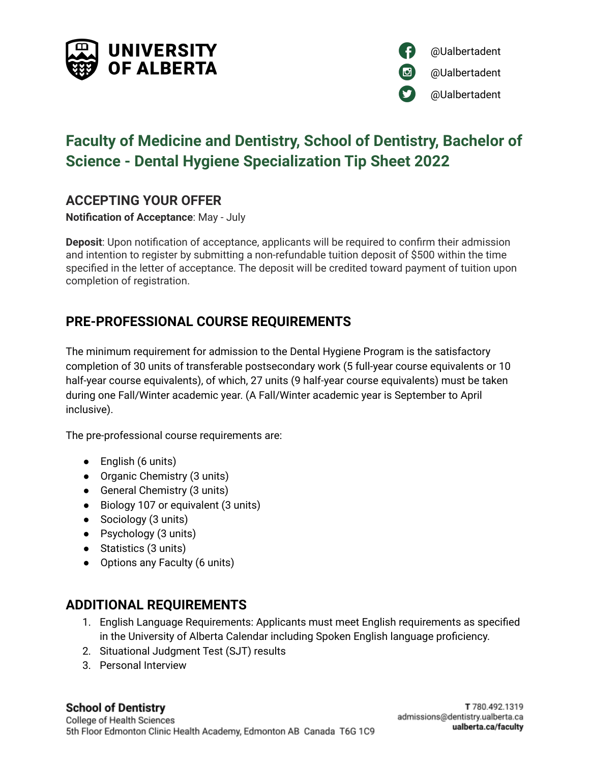



# **Faculty of Medicine and Dentistry, School of Dentistry, Bachelor of Science - Dental Hygiene Specialization Tip Sheet 2022**

### **ACCEPTING YOUR OFFER**

**Notification of Acceptance**: May - July

**Deposit**: Upon notification of acceptance, applicants will be required to confirm their admission and intention to register by submitting a non-refundable tuition deposit of \$500 within the time specified in the letter of acceptance. The deposit will be credited toward payment of tuition upon completion of registration.

# **PRE-PROFESSIONAL COURSE REQUIREMENTS**

The minimum requirement for admission to the Dental Hygiene Program is the satisfactory completion of 30 units of transferable postsecondary work (5 full-year course equivalents or 10 half-year course equivalents), of which, 27 units (9 half-year course equivalents) must be taken during one Fall/Winter academic year. (A Fall/Winter academic year is September to April inclusive).

The pre-professional course requirements are:

- English (6 units)
- Organic Chemistry (3 units)
- General Chemistry (3 units)
- Biology 107 or equivalent (3 units)
- Sociology (3 units)
- Psychology (3 units)
- Statistics (3 units)
- Options any Faculty (6 units)

#### **ADDITIONAL REQUIREMENTS**

- 1. English Language Requirements: Applicants must meet English requirements as specified in the [University](http://www.registrar.ualberta.ca/calendar) of Alberta Calendar including Spoken English language proficiency.
- 2. Situational Judgment Test (SJT) results
- 3. Personal Interview

# **School of Dentistry**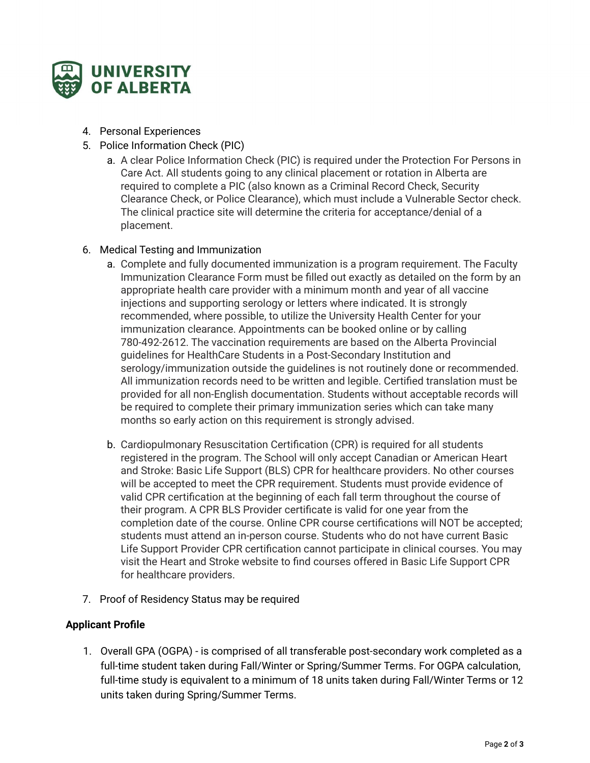

- 4. Personal Experiences
- 5. Police Information Check (PIC)
	- a. A clear Police Information Check (PIC) is required under the Protection For Persons in Care Act. All students going to any clinical placement or rotation in Alberta are required to complete a PIC (also known as a Criminal Record Check, Security Clearance Check, or Police Clearance), which must include a Vulnerable Sector check. The clinical practice site will determine the criteria for acceptance/denial of a placement.
- 6. Medical Testing and Immunization
	- a. Complete and fully documented immunization is a program requirement. The Faculty Immunization Clearance Form must be filled out exactly as detailed on the form by an appropriate health care provider with a minimum month and year of all vaccine injections and supporting serology or letters where indicated. It is strongly recommended, where possible, to utilize the University Health Center for your immunization clearance. Appointments can be booked online or by calling 780-492-2612. The vaccination requirements are based on the Alberta Provincial guidelines for HealthCare Students in a Post-Secondary Institution and serology/immunization outside the guidelines is not routinely done or recommended. All immunization records need to be written and legible. Certified translation must be provided for all non-English documentation. Students without acceptable records will be required to complete their primary immunization series which can take many months so early action on this requirement is strongly advised.
	- b. Cardiopulmonary Resuscitation Certification (CPR) is required for all students registered in the program. The School will only accept Canadian or American Heart and Stroke: Basic Life Support (BLS) CPR for healthcare providers. No other courses will be accepted to meet the CPR requirement. Students must provide evidence of valid CPR certification at the beginning of each fall term throughout the course of their program. A CPR BLS Provider certificate is valid for one year from the completion date of the course. Online CPR course certifications will NOT be accepted; students must attend an in-person course. Students who do not have current Basic Life Support Provider CPR certification cannot participate in clinical courses. You may visit the Heart and Stroke website to find courses offered in Basic Life Support CPR for healthcare providers.
- 7. Proof of Residency Status may be required

#### **Applicant Profile**

1. Overall GPA (OGPA) - is comprised of all transferable post-secondary work completed as a full-time student taken during Fall/Winter or Spring/Summer Terms. For OGPA calculation, full-time study is equivalent to a minimum of 18 units taken during Fall/Winter Terms or 12 units taken during Spring/Summer Terms.